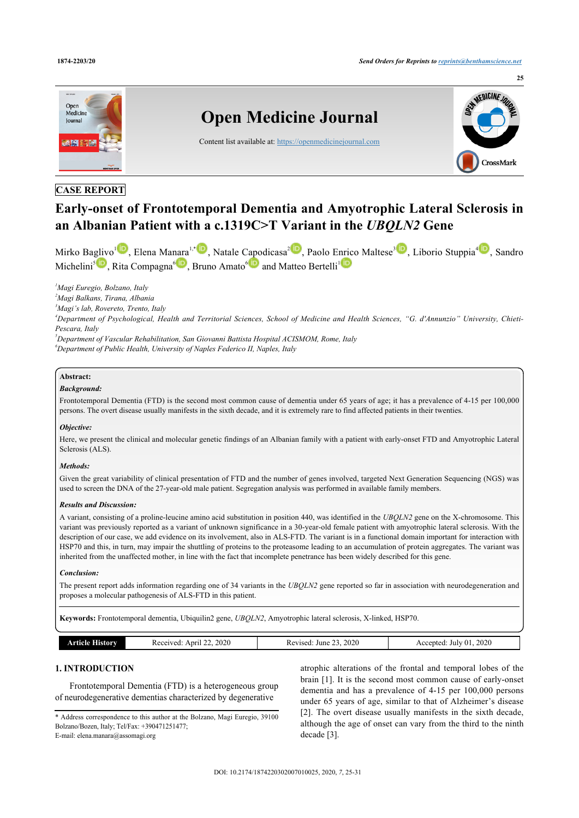

# **CASE REPORT**

# **Early-onset of Frontotemporal Dementia and Amyotrophic Lateral Sclerosis in an Albanian Patient with a c.1319C>T Variant in the** *UBQLN2* **Gene**

Mirko Baglivo<sup>l D</sup>, Elena Manara<sup>[1](#page-0-0),[\\*](#page-0-1)</sup> D[,](http://orcid.org/0000-0002-6232-0996) Natale Capodicasa<sup>[2](#page-0-2)</sup> D, Paolo Enrico Maltese<sup>[3](#page-0-3)</sup> D, Liborio Stuppia<sup>[4](#page-0-4)</sup> D, Sandro Michelini<sup>[5](#page-0-5)</sup> **D**, Rita Compagna<sup>[6](#page-0-6)</sup> **D**[,](http://orcid.org/0000-0001-6403-5390) Bruno Amato<sup>6</sup> **D** and Matteo Bertelli<sup>[1](#page-0-0)</sup>

<span id="page-0-0"></span>*<sup>1</sup>Magi Euregio, Bolzano, Italy*

<span id="page-0-2"></span>*<sup>2</sup>Magi Balkans, Tirana, Albania*

<span id="page-0-3"></span>*<sup>3</sup>Magi's lab, Rovereto, Trento, Italy*

<span id="page-0-4"></span>*<sup>4</sup>Department of Psychological, Health and Territorial Sciences, School of Medicine and Health Sciences, "G. d'Annunzio" University, Chieti-Pescara, Italy*

<span id="page-0-6"></span><span id="page-0-5"></span>*<sup>5</sup>Department of Vascular Rehabilitation, San Giovanni Battista Hospital ACISMOM, Rome, Italy <sup>6</sup>Department of Public Health, University of Naples Federico II, Naples, Italy*

# **Abstract:**

## *Background:*

Frontotemporal Dementia (FTD) is the second most common cause of dementia under 65 years of age; it has a prevalence of 4-15 per 100,000 persons. The overt disease usually manifests in the sixth decade, and it is extremely rare to find affected patients in their twenties.

#### *Objective:*

Here, we present the clinical and molecular genetic findings of an Albanian family with a patient with early-onset FTD and Amyotrophic Lateral Sclerosis (ALS).

#### *Methods:*

Given the great variability of clinical presentation of FTD and the number of genes involved, targeted Next Generation Sequencing (NGS) was used to screen the DNA of the 27-year-old male patient. Segregation analysis was performed in available family members.

#### *Results and Discussion:*

A variant, consisting of a proline-leucine amino acid substitution in position 440, was identified in the *UBQLN2* gene on the X-chromosome. This variant was previously reported as a variant of unknown significance in a 30-year-old female patient with amyotrophic lateral sclerosis. With the description of our case, we add evidence on its involvement, also in ALS-FTD. The variant is in a functional domain important for interaction with HSP70 and this, in turn, may impair the shuttling of proteins to the proteasome leading to an accumulation of protein aggregates. The variant was inherited from the unaffected mother, in line with the fact that incomplete penetrance has been widely described for this gene.

#### *Conclusion:*

The present report adds information regarding one of 34 variants in the *UBQLN2* gene reported so far in association with neurodegeneration and proposes a molecular pathogenesis of ALS-FTD in this patient.

**Keywords:** Frontotemporal dementia, Ubiquilin2 gene, *UBQLN2*, Amyotrophic lateral sclerosis, X-linked, HSP70.

|--|

# **1. INTRODUCTION**

Frontotemporal Dementia (FTD) is a heterogeneous group of neurodegenerative dementias characterized by degenerative

<span id="page-0-1"></span>\* Address correspondence to this author at the Bolzano, Magi Euregio, 39100 Bolzano/Bozen, Italy; Tel/Fax: +390471251477; E-mail: [elena.manara@assomagi.org](mailto:elena.manara@assomagi.org)

atrophic alterations of the frontal and temporal lobes of the brain [[1\]](#page-4-0). It is the second most common cause of early-onset dementia and has a prevalence of 4-15 per 100,000 persons under 65 years of age, similar to that of Alzheimer's disease [[2\]](#page-4-1). The overt disease usually manifests in the sixth decade, although the age of onset can vary from the third to the ninth decade [\[3\]](#page-5-0).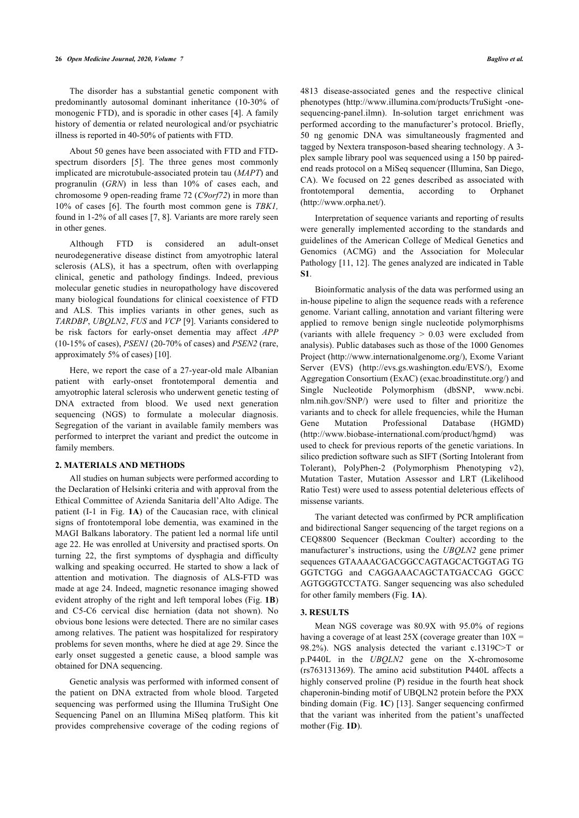#### **26** *Open Medicine Journal, 2020, Volume 7 Baglivo et al.*

The disorder has a substantial genetic component with predominantly autosomal dominant inheritance (10-30% of monogenic FTD), and is sporadic in other cases [[4](#page-5-1)]. A family history of dementia or related neurological and/or psychiatric illness is reported in 40-50% of patients with FTD.

About 50 genes have been associated with FTD and FTDspectrum disorders [\[5\]](#page-5-2). The three genes most commonly implicated are microtubule-associated protein tau (*MAPT*) and progranulin (*GRN*) in less than 10% of cases each, and chromosome 9 open-reading frame 72 (*C9orf72*) in more than 10% of cases [\[6\]](#page-5-3). The fourth most common gene is *TBK1,* found in 1-2% of all cases [[7](#page-5-4), [8](#page-5-5)]. Variants are more rarely seen in other genes.

Although FTD is considered an adult-onset neurodegenerative disease distinct from amyotrophic lateral sclerosis (ALS), it has a spectrum, often with overlapping clinical, genetic and pathology findings. Indeed, previous molecular genetic studies in neuropathology have discovered many biological foundations for clinical coexistence of FTD and ALS. This implies variants in other genes, such as *TARDBP*, *UBQLN2*, *FUS* and *VCP* [[9](#page-5-6)]. Variants considered to be risk factors for early-onset dementia may affect *APP* (10-15% of cases), *PSEN1* (20-70% of cases) and *PSEN2* (rare, approximately 5% of cases) [\[10](#page-5-7)].

Here, we report the case of a 27-year-old male Albanian patient with early-onset frontotemporal dementia and amyotrophic lateral sclerosis who underwent genetic testing of DNA extracted from blood. We used next generation sequencing (NGS) to formulate a molecular diagnosis. Segregation of the variant in available family members was performed to interpret the variant and predict the outcome in family members.

#### **2. MATERIALS AND METHODS**

All studies on human subjects were performed according to the Declaration of Helsinki criteria and with approval from the Ethical Committee of Azienda Sanitaria dell'Alto Adige. The patient (I-1 in Fig. **[1A](#page-1-0)**) of the Caucasian race, with clinical signs of frontotemporal lobe dementia, was examined in the MAGI Balkans laboratory. The patient led a normal life until age 22. He was enrolled at University and practised sports. On turning 22, the first symptoms of dysphagia and difficulty walking and speaking occurred. He started to show a lack of attention and motivation. The diagnosis of ALS-FTD was made at age 24. Indeed, magnetic resonance imaging showed evident atrophy of the right and left temporal lobes (Fig. **[1B](#page-1-0)**) and C5-C6 cervical disc herniation (data not shown). No obvious bone lesions were detected. There are no similar cases among relatives. The patient was hospitalized for respiratory problems for seven months, where he died at age 29. Since the early onset suggested a genetic cause, a blood sample was obtained for DNA sequencing.

<span id="page-1-0"></span>Genetic analysis was performed with informed consent of the patient on DNA extracted from whole blood. Targeted sequencing was performed using the Illumina TruSight One Sequencing Panel on an Illumina MiSeq platform. This kit provides comprehensive coverage of the coding regions of 4813 disease-associated genes and the respective clinical phenotypes [\(http://www.illumina.com/products/TruSight -one](http://www.illumina.com/products/TruSight-one-sequencing-panel.ilmn)[sequencing-panel.ilmn\)](http://www.illumina.com/products/TruSight-one-sequencing-panel.ilmn). In-solution target enrichment was performed according to the manufacturer's protocol. Briefly, 50 ng genomic DNA was simultaneously fragmented and tagged by Nextera transposon-based shearing technology. A 3 plex sample library pool was sequenced using a 150 bp pairedend reads protocol on a MiSeq sequencer (Illumina, San Diego, CA). We focused on 22 genes described as associated with frontotemporal dementia, according to Orphanet (<http://www.orpha.net/>).

Interpretation of sequence variants and reporting of results were generally implemented according to the standards and guidelines of the American College of Medical Genetics and Genomics (ACMG) and the Association for Molecular Pathology [[11,](#page-5-8) [12\]](#page-5-9). The genes analyzed are indicated in Table **S1**.

Bioinformatic analysis of the data was performed using an in-house pipeline to align the sequence reads with a reference genome. Variant calling, annotation and variant filtering were applied to remove benign single nucleotide polymorphisms (variants with allele frequency > 0.03 were excluded from analysis). Public databases such as those of the 1000 Genomes Project [\(http://www.internationalgenome.org/](http://www.internationalgenome.org/)), Exome Variant Server (EVS)([http://evs.gs.washington.edu/EVS/\)](http://evs.gs.washington.edu/EVS/), Exome Aggregation Consortium (ExAC) (exac.broadinstitute.org/) and Single Nucleotide Polymorphism (dbSNP, [www.ncbi.](http://www.ncbi.nlm.nih.gov/SNP/) [nlm.nih.gov/SNP/\)](http://www.ncbi.nlm.nih.gov/SNP/) were used to filter and prioritize the variants and to check for allele frequencies, while the Human Gene Mutation Professional Database (HGMD) ([http://www.biobase-international.com/product/hgmd\)](http://www.biobase-international.com/product/hgmd) was used to check for previous reports of the genetic variations. In silico prediction software such as SIFT (Sorting Intolerant from Tolerant), PolyPhen-2 (Polymorphism Phenotyping v2), Mutation Taster, Mutation Assessor and LRT (Likelihood Ratio Test) were used to assess potential deleterious effects of missense variants.

The variant detected was confirmed by PCR amplification and bidirectional Sanger sequencing of the target regions on a CEQ8800 Sequencer (Beckman Coulter) according to the manufacturer's instructions, using the *UBQLN2* gene primer sequences GTAAAACGACGGCCAGTAGCACTGGTAG TG GGTCTGG and CAGGAAACAGCTATGACCAG GGCC AGTGGGTCCTATG. Sanger sequencing was also scheduled for other family members (Fig. **[1A](#page-1-0)**).

#### **3. RESULTS**

Mean NGS coverage was 80.9X with 95.0% of regions having a coverage of at least  $25X$  (coverage greater than  $10X =$ 98.2%). NGS analysis detected the variant c.1319C>T or p.P440L in the *UBQLN2* gene on the X-chromosome (rs763131369). The amino acid substitution P440L affects a highly conserved proline (P) residue in the fourth heat shock chaperonin-binding motif of UBQLN2 protein before the PXX binding domain (Fig. **[1C](#page-1-0)**) [[13](#page-5-10)]. Sanger sequencing confirmed that the variant was inherited from the patient's unaffected mother (Fig. **[1D](#page-1-0)**).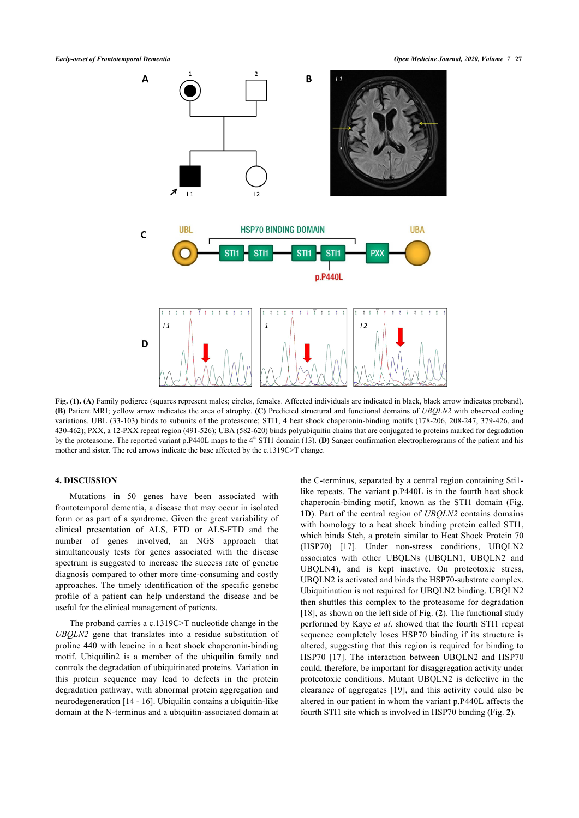

**Fig. (1). (A)** Family pedigree (squares represent males; circles, females. Affected individuals are indicated in black, black arrow indicates proband). **(B)** Patient MRI; yellow arrow indicates the area of atrophy. **(C)** Predicted structural and functional domains of *UBQLN2* with observed coding variations. UBL (33-103) binds to subunits of the proteasome; STI1, 4 heat shock chaperonin-binding motifs (178-206, 208-247, 379-426, and 430-462); PXX, a 12-PXX repeat region (491-526); UBA (582-620) binds polyubiquitin chains that are conjugated to proteins marked for degradation by the proteasome. The reported variant p.P440L maps to the 4<sup>th</sup> STI1 domain (13). **(D)** Sanger confirmation electropherograms of the patient and his mother and sister. The red arrows indicate the base affected by the c.1319C>T change.

#### **4. DISCUSSION**

Mutations in 50 genes have been associated with frontotemporal dementia, a disease that may occur in isolated form or as part of a syndrome. Given the great variability of clinical presentation of ALS, FTD or ALS-FTD and the number of genes involved, an NGS approach that simultaneously tests for genes associated with the disease spectrum is suggested to increase the success rate of genetic diagnosis compared to other more time-consuming and costly approaches. The timely identification of the specific genetic profile of a patient can help understand the disease and be useful for the clinical management of patients.

<span id="page-2-0"></span>The proband carries a c.1319C>T nucleotide change in the *UBQLN2* gene that translates into a residue substitution of proline 440 with leucine in a heat shock chaperonin-binding motif. Ubiquilin2 is a member of the ubiquilin family and controls the degradation of ubiquitinated proteins. Variation in this protein sequence may lead to defects in the protein degradation pathway, with abnormal protein aggregation and neurodegeneration [[14](#page-5-11) - [16](#page-5-12)]. Ubiquilin contains a ubiquitin-like domain at the N-terminus and a ubiquitin-associated domain at the C-terminus, separated by a central region containing Sti1 like repeats. The variant p.P440L is in the fourth heat shock chaperonin-binding motif, known as the STI1 domain (Fig. **[1D](#page-1-0)**). Part of the central region of *UBQLN2* contains domains with homology to a heat shock binding protein called STI1, which binds Stch, a protein similar to Heat Shock Protein 70 (HSP70)[[17\]](#page-5-13). Under non-stress conditions, UBQLN2 associates with other UBQLNs (UBQLN1, UBQLN2 and UBQLN4), and is kept inactive. On proteotoxic stress, UBQLN2 is activated and binds the HSP70-substrate complex. Ubiquitination is not required for UBQLN2 binding. UBQLN2 then shuttles this complex to the proteasome for degradation [[18](#page-5-14)], as shown on the left side of Fig. (**[2](#page-2-0)**). The functional study performed by Kaye *et al*. showed that the fourth STI1 repeat sequence completely loses HSP70 binding if its structure is altered, suggesting that this region is required for binding to HSP70[[17\]](#page-5-13). The interaction between UBQLN2 and HSP70 could, therefore, be important for disaggregation activity under proteotoxic conditions. Mutant UBQLN2 is defective in the clearance of aggregates[[19\]](#page-5-15), and this activity could also be altered in our patient in whom the variant p.P440L affects the fourth STI1 site which is involved in HSP70 binding (Fig. **[2](#page-2-0)**).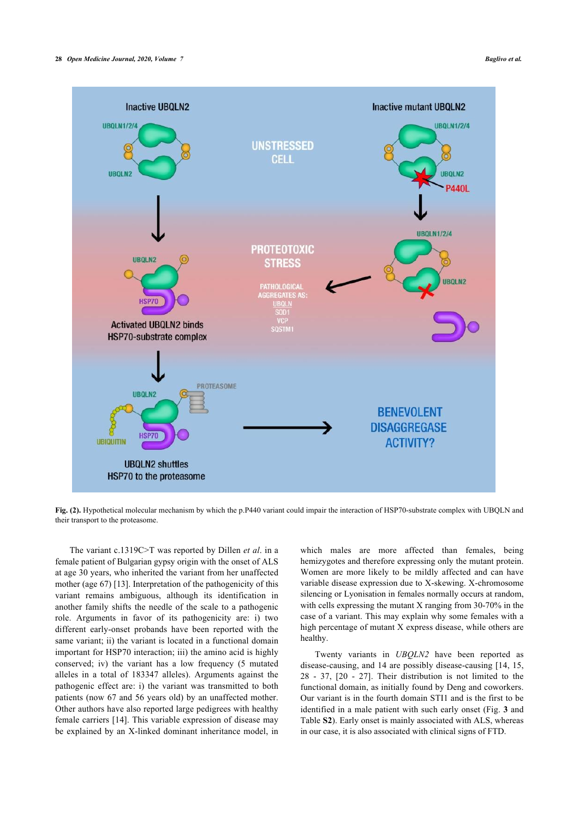

**Fig. (2).** Hypothetical molecular mechanism by which the p.P440 variant could impair the interaction of HSP70-substrate complex with UBQLN and their transport to the proteasome.

<span id="page-3-0"></span>The variant c.1319C>T was reported by Dillen *et al*. in a female patient of Bulgarian gypsy origin with the onset of ALS at age 30 years, who inherited the variant from her unaffected mother (age 67) [\[13](#page-5-10)]. Interpretation of the pathogenicity of this variant remains ambiguous, although its identification in another family shifts the needle of the scale to a pathogenic role. Arguments in favor of its pathogenicity are: i) two different early-onset probands have been reported with the same variant; ii) the variant is located in a functional domain important for HSP70 interaction; iii) the amino acid is highly conserved; iv) the variant has a low frequency (5 mutated alleles in a total of 183347 alleles). Arguments against the pathogenic effect are: i) the variant was transmitted to both patients (now 67 and 56 years old) by an unaffected mother. Other authors have also reported large pedigrees with healthy female carriers [\[14\]](#page-5-11). This variable expression of disease may be explained by an X-linked dominant inheritance model, in

which males are more affected than females, being hemizygotes and therefore expressing only the mutant protein. Women are more likely to be mildly affected and can have variable disease expression due to X-skewing. X-chromosome silencing or Lyonisation in females normally occurs at random, with cells expressing the mutant X ranging from 30-70% in the case of a variant. This may explain why some females with a high percentage of mutant X express disease, while others are healthy.

Twenty variants in *UBQLN2* have been reported as disease-causing, and 14 are possibly disease-causing [[14,](#page-5-11) [15](#page-5-16), [28](#page-5-17) - [37,](#page-6-0)[[20](#page-5-18) - [27](#page-5-19)]. Their distribution is not limited to the functional domain, as initially found by Deng and coworkers. Our variant is in the fourth domain STI1 and is the first to be identified in a male patient with such early onset (Fig. **[3](#page-3-0)** and Table **S2**). Early onset is mainly associated with ALS, whereas in our case, it is also associated with clinical signs of FTD.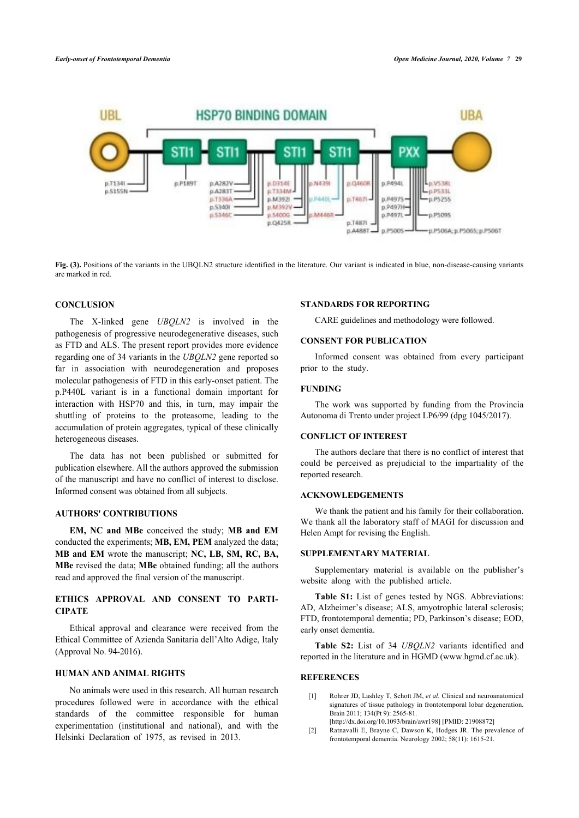

**Fig. (3).** Positions of the variants in the UBQLN2 structure identified in the literature. Our variant is indicated in blue, non-disease-causing variants are marked in red.

### **CONCLUSION**

The X-linked gene *UBQLN2* is involved in the pathogenesis of progressive neurodegenerative diseases, such as FTD and ALS. The present report provides more evidence regarding one of 34 variants in the *UBQLN2* gene reported so far in association with neurodegeneration and proposes molecular pathogenesis of FTD in this early-onset patient. The p.P440L variant is in a functional domain important for interaction with HSP70 and this, in turn, may impair the shuttling of proteins to the proteasome, leading to the accumulation of protein aggregates, typical of these clinically heterogeneous diseases.

The data has not been published or submitted for publication elsewhere. All the authors approved the submission of the manuscript and have no conflict of interest to disclose. Informed consent was obtained from all subjects.

## **AUTHORS' CONTRIBUTIONS**

**EM, NC and MBe** conceived the study; **MB and EM** conducted the experiments; **MB, EM, PEM** analyzed the data; **MB and EM** wrote the manuscript; **NC, LB, SM, RC, BA, MBe** revised the data; **MBe** obtained funding; all the authors read and approved the final version of the manuscript.

# **ETHICS APPROVAL AND CONSENT TO PARTI-CIPATE**

Ethical approval and clearance were received from the Ethical Committee of Azienda Sanitaria dell'Alto Adige, Italy (Approval No. 94-2016).

## **HUMAN AND ANIMAL RIGHTS**

<span id="page-4-1"></span><span id="page-4-0"></span>No animals were used in this research. All human research procedures followed were in accordance with the ethical standards of the committee responsible for human experimentation (institutional and national), and with the Helsinki Declaration of 1975, as revised in 2013.

#### **STANDARDS FOR REPORTING**

CARE guidelines and methodology were followed.

## **CONSENT FOR PUBLICATION**

Informed consent was obtained from every participant prior to the study.

### **FUNDING**

The work was supported by funding from the Provincia Autonoma di Trento under project LP6/99 (dpg 1045/2017).

#### **CONFLICT OF INTEREST**

The authors declare that there is no conflict of interest that could be perceived as prejudicial to the impartiality of the reported research.

### **ACKNOWLEDGEMENTS**

We thank the patient and his family for their collaboration. We thank all the laboratory staff of MAGI for discussion and Helen Ampt for revising the English.

### **SUPPLEMENTARY MATERIAL**

Supplementary material is available on the publisher's website along with the published article.

**Table S1:** List of genes tested by NGS. Abbreviations: AD, Alzheimer's disease; ALS, amyotrophic lateral sclerosis; FTD, frontotemporal dementia; PD, Parkinson's disease; EOD, early onset dementia.

**Table S2:** List of 34 *UBQLN2* variants identified and reported in the literature and in HGMD ([www.hgmd.cf.ac.uk\)](http://www.hgmd.cf.ac.uk).

# **REFERENCES**

- [1] Rohrer JD, Lashley T, Schott JM, *et al.* Clinical and neuroanatomical signatures of tissue pathology in frontotemporal lobar degeneration. Brain 2011; 134(Pt 9): 2565-81. [\[http://dx.doi.org/10.1093/brain/awr198\]](http://dx.doi.org/10.1093/brain/awr198) [PMID: [21908872](http://www.ncbi.nlm.nih.gov/pubmed/21908872)]
- [2] Ratnavalli E, Brayne C, Dawson K, Hodges JR. The prevalence of frontotemporal dementia. Neurology 2002; 58(11): 1615-21.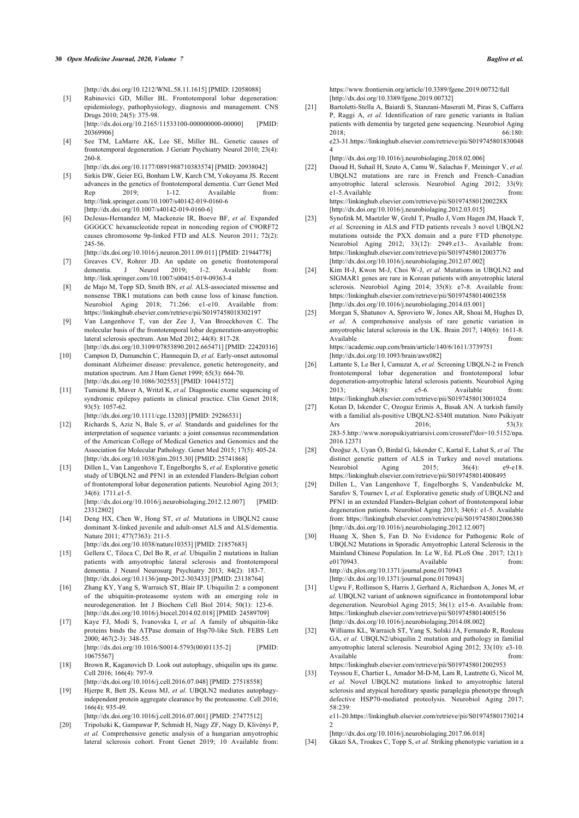[\[http://dx.doi.org/10.1212/WNL.58.11.1615](http://dx.doi.org/10.1212/WNL.58.11.1615)] [PMID: [12058088\]](http://www.ncbi.nlm.nih.gov/pubmed/12058088)

- <span id="page-5-0"></span>[3] Rabinovici GD, Miller BL. Frontotemporal lobar degeneration: epidemiology, pathophysiology, diagnosis and management. CNS Drugs 2010; 24(5): 375-98. [\[http://dx.doi.org/10.2165/11533100-000000000-00000\]](http://dx.doi.org/10.2165/11533100-000000000-00000) [PMID: [20369906\]](http://www.ncbi.nlm.nih.gov/pubmed/20369906)
- <span id="page-5-1"></span>[4] See TM, LaMarre AK, Lee SE, Miller BL. Genetic causes of frontotemporal degeneration. J Geriatr Psychiatry Neurol 2010; 23(4): 260-8.

[\[http://dx.doi.org/10.1177/0891988710383574](http://dx.doi.org/10.1177/0891988710383574)] [PMID: [20938042\]](http://www.ncbi.nlm.nih.gov/pubmed/20938042)

- <span id="page-5-2"></span>[5] Sirkis DW, Geier EG, Bonham LW, Karch CM, Yokoyama JS. Recent advances in the genetics of frontotemporal dementia. Curr Genet Med Rep 2019; 1-12. Available from: <http://link.springer.com/10.1007/s40142-019-0160-6> [\[http://dx.doi.org/10.1007/s40142-019-0160-6](http://dx.doi.org/10.1007/s40142-019-0160-6)]
- <span id="page-5-3"></span>[6] DeJesus-Hernandez M, Mackenzie IR, Boeve BF, *et al.* Expanded GGGGCC hexanucleotide repeat in noncoding region of C9ORF72 causes chromosome 9p-linked FTD and ALS. Neuron 2011; 72(2): 245-56.

[\[http://dx.doi.org/10.1016/j.neuron.2011.09.011](http://dx.doi.org/10.1016/j.neuron.2011.09.011)] [PMID: [21944778\]](http://www.ncbi.nlm.nih.gov/pubmed/21944778)

- <span id="page-5-4"></span>[7] Greaves CV, Rohrer JD. An update on genetic frontotemporal dementia. J Neurol 2019; 1-2. Available from: <http://link.springer.com/10.1007/s00415-019-09363-4>
- <span id="page-5-5"></span>[8] de Majo M, Topp SD, Smith BN, *et al.* ALS-associated missense and nonsense TBK1 mutations can both cause loss of kinase function. Neurobiol Aging 2018; 71:266: e1-e10. Available from: <https://linkinghub.elsevier.com/retrieve/pii/S0197458018302197>
- <span id="page-5-6"></span>[9] Van Langenhove T, van der Zee J, Van Broeckhoven C. The molecular basis of the frontotemporal lobar degeneration-amyotrophic lateral sclerosis spectrum. Ann Med 2012; 44(8): 817-28. [\[http://dx.doi.org/10.3109/07853890.2012.665471\]](http://dx.doi.org/10.3109/07853890.2012.665471) [PMID: [22420316](http://www.ncbi.nlm.nih.gov/pubmed/22420316)]
- <span id="page-5-7"></span>[10] Campion D, Dumanchin C, Hannequin D, *et al.* Early-onset autosomal dominant Alzheimer disease: prevalence, genetic heterogeneity, and mutation spectrum. Am J Hum Genet 1999; 65(3): 664-70. [\[http://dx.doi.org/10.1086/302553](http://dx.doi.org/10.1086/302553)] [PMID: [10441572\]](http://www.ncbi.nlm.nih.gov/pubmed/10441572)
- <span id="page-5-8"></span>[11] Tumienė B, Maver A, Writzl K, *et al.* Diagnostic exome sequencing of syndromic epilepsy patients in clinical practice. Clin Genet 2018; 93(5): 1057-62.

[\[http://dx.doi.org/10.1111/cge.13203](http://dx.doi.org/10.1111/cge.13203)] [PMID: [29286531\]](http://www.ncbi.nlm.nih.gov/pubmed/29286531)

- <span id="page-5-19"></span><span id="page-5-9"></span>[12] Richards S, Aziz N, Bale S, *et al.* Standards and guidelines for the interpretation of sequence variants: a joint consensus recommendation of the American College of Medical Genetics and Genomics and the Association for Molecular Pathology. Genet Med 2015; 17(5): 405-24. [\[http://dx.doi.org/10.1038/gim.2015.30\]](http://dx.doi.org/10.1038/gim.2015.30) [PMID: [25741868](http://www.ncbi.nlm.nih.gov/pubmed/25741868)]
- <span id="page-5-17"></span><span id="page-5-10"></span>[13] Dillen L, Van Langenhove T, Engelborghs S, *et al.* Explorative genetic study of UBQLN2 and PFN1 in an extended Flanders-Belgian cohort of frontotemporal lobar degeneration patients. Neurobiol Aging 2013; 34(6): 1711.e1-5.

[\[http://dx.doi.org/10.1016/j.neurobiolaging.2012.12.007\]](http://dx.doi.org/10.1016/j.neurobiolaging.2012.12.007) [PMID: [23312802\]](http://www.ncbi.nlm.nih.gov/pubmed/23312802)

<span id="page-5-11"></span>[14] Deng HX, Chen W, Hong ST, *et al.* Mutations in UBOLN2 cause dominant X-linked juvenile and adult-onset ALS and ALS/dementia. Nature 2011; 477(7363): 211-5.

[\[http://dx.doi.org/10.1038/nature10353](http://dx.doi.org/10.1038/nature10353)] [PMID: [21857683\]](http://www.ncbi.nlm.nih.gov/pubmed/21857683)

- <span id="page-5-16"></span>[15] Gellera C, Tiloca C, Del Bo R, *et al.* Ubiquilin 2 mutations in Italian patients with amyotrophic lateral sclerosis and frontotemporal dementia. J Neurol Neurosurg Psychiatry 2013; 84(2): 183-7. [\[http://dx.doi.org/10.1136/jnnp-2012-303433](http://dx.doi.org/10.1136/jnnp-2012-303433)] [PMID: [23138764\]](http://www.ncbi.nlm.nih.gov/pubmed/23138764)
- <span id="page-5-12"></span>[16] Zhang KY, Yang S, Warraich ST, Blair IP. Ubiquilin 2: a component of the ubiquitin-proteasome system with an emerging role in neurodegeneration. Int J Biochem Cell Biol 2014; 50(1): 123-6. [\[http://dx.doi.org/10.1016/j.biocel.2014.02.018\]](http://dx.doi.org/10.1016/j.biocel.2014.02.018) [PMID: [24589709](http://www.ncbi.nlm.nih.gov/pubmed/24589709)]
- <span id="page-5-13"></span>[17] Kaye FJ, Modi S, Ivanovska I, *et al.* A family of ubiquitin-like proteins binds the ATPase domain of Hsp70-like Stch. FEBS Lett 2000; 467(2-3): 348-55. [\[http://dx.doi.org/10.1016/S0014-5793\(00\)01135-2](http://dx.doi.org/10.1016/S0014-5793(00)01135-2)] [PMID:
- <span id="page-5-14"></span>[10675567\]](http://www.ncbi.nlm.nih.gov/pubmed/10675567) [18] Brown R, Kaganovich D. Look out autophagy, ubiquilin ups its game. Cell 2016; 166(4): 797-9.
- [\[http://dx.doi.org/10.1016/j.cell.2016.07.048\]](http://dx.doi.org/10.1016/j.cell.2016.07.048) [PMID: [27518558](http://www.ncbi.nlm.nih.gov/pubmed/27518558)]
- <span id="page-5-15"></span>[19] Hjerpe R, Bett JS, Keuss MJ, *et al.* UBQLN2 mediates autophagyindependent protein aggregate clearance by the proteasome. Cell 2016; 166(4): 935-49.

[\[http://dx.doi.org/10.1016/j.cell.2016.07.001\]](http://dx.doi.org/10.1016/j.cell.2016.07.001) [PMID: [27477512](http://www.ncbi.nlm.nih.gov/pubmed/27477512)]

<span id="page-5-18"></span>[20] Tripolszki K, Gampawar P, Schmidt H, Nagy ZF, Nagy D, Klivényi P, *et al.* Comprehensive genetic analysis of a hungarian amyotrophic lateral sclerosis cohort. Front Genet 2019; 10 Available from:

<https://www.frontiersin.org/article/10.3389/fgene.2019.00732/full> [\[http://dx.doi.org/10.3389/fgene.2019.00732](http://dx.doi.org/10.3389/fgene.2019.00732)]

[21] Bartoletti-Stella A, Baiardi S, Stanzani-Maserati M, Piras S, Caffarra P, Raggi A, *et al.* Identification of rare genetic variants in Italian patients with dementia by targeted gene sequencing. Neurobiol Aging 2018; 66:180: e23-31[.https://linkinghub.elsevier.com/retrieve/pii/S019745801830048](https://linkinghub.elsevier.com/retrieve/pii/S0197458018300484) [4](https://linkinghub.elsevier.com/retrieve/pii/S0197458018300484)

[\[http://dx.doi.org/10.1016/j.neurobiolaging.2018.02.006](http://dx.doi.org/10.1016/j.neurobiolaging.2018.02.006)]

- [22] Daoud H, Suhail H, Szuto A, Camu W, Salachas F, Meininger V, *et al.* UBQLN2 mutations are rare in French and French–Canadian amyotrophic lateral sclerosis. Neurobiol Aging 2012; 33(9): e1-5.Available from: <https://linkinghub.elsevier.com/retrieve/pii/S019745801200228X> [\[http://dx.doi.org/10.1016/j.neurobiolaging.2012.03.015](http://dx.doi.org/10.1016/j.neurobiolaging.2012.03.015)]
- [23] Synofzik M, Maetzler W, Grehl T, Prudlo J, Vom Hagen JM, Haack T, *et al.* Screening in ALS and FTD patients reveals 3 novel UBQLN2 mutations outside the PXX domain and a pure FTD phenotype. Neurobiol Aging 2012; 33(12): 2949.e13-. Available from: <https://linkinghub.elsevier.com/retrieve/pii/S0197458012003776> [\[http://dx.doi.org/10.1016/j.neurobiolaging.2012.07.002](http://dx.doi.org/10.1016/j.neurobiolaging.2012.07.002)]
- [24] Kim H-J, Kwon M-J, Choi W-J, *et al.* Mutations in UBQLN2 and SIGMAR1 genes are rare in Korean patients with amyotrophic lateral sclerosis. Neurobiol Aging 2014; 35(8): e7-8. Available from: <https://linkinghub.elsevier.com/retrieve/pii/S0197458014002358> [\[http://dx.doi.org/10.1016/j.neurobiolaging.2014.03.001](http://dx.doi.org/10.1016/j.neurobiolaging.2014.03.001)]
- [25] Morgan S, Shatunov A, Sproviero W, Jones AR, Shoai M, Hughes D, *et al.* A comprehensive analysis of rare genetic variation in amyotrophic lateral sclerosis in the UK. Brain 2017; 140(6): 1611-8. Available from:  $\blacksquare$ <https://academic.oup.com/brain/article/140/6/1611/3739751>

[\[http://dx.doi.org/10.1093/brain/awx082\]](http://dx.doi.org/10.1093/brain/awx082)

- [26] Lattante S, Le Ber I, Camuzat A, *et al.* Screening UBQLN-2 in French frontotemporal lobar degeneration and frontotemporal lobar degeneration-amyotrophic lateral sclerosis patients. Neurobiol Aging 2013; 34(8): e5-6. Available from: <https://linkinghub.elsevier.com/retrieve/pii/S0197458013001024>
- [27] Kotan D, Iskender C, Ozoguz Erimis A, Basak AN. A turkish family with a familial als-positive UBQLN2-S340I mutation. Noro Psikiyatr Ars 2016; 53(3): 283-5[.http://www.noropsikiyatriarsivi.com/crossref?doi=10.5152/npa.](http://www.noropsikiyatriarsivi.com/crossref?doi=10.5152/npa.2016.12371) [2016.12371](http://www.noropsikiyatriarsivi.com/crossref?doi=10.5152/npa.2016.12371)
- [28] Özoğuz A, Uyan Ö, Birdal G, Iskender C, Kartal E, Lahut S, *et al.* The distinct genetic pattern of ALS in Turkey and novel mutations. Neurobiol Aging 2015; 36(4): e9-e18. <https://linkinghub.elsevier.com/retrieve/pii/S0197458014008495>
- [29] Dillen L, Van Langenhove T, Engelborghs S, Vandenbulcke M, Sarafov S, Tournev I, et al. Explorative genetic study of UBQLN2 and PFN1 in an extended Flanders-Belgian cohort of frontotemporal lobar degeneration patients. Neurobiol Aging 2013; 34(6): e1-5. Available from:<https://linkinghub.elsevier.com/retrieve/pii/S0197458012006380> [\[http://dx.doi.org/10.1016/j.neurobiolaging.2012.12.007](http://dx.doi.org/10.1016/j.neurobiolaging.2012.12.007)]
- [30] Huang X, Shen S, Fan D. No Evidence for Pathogenic Role of UBQLN2 Mutations in Sporadic Amyotrophic Lateral Sclerosis in the Mainland Chinese Population. In: Le W, Ed. PLoS One . 2017; 12(1): e0170943 Available **from:** <http://dx.plos.org/10.1371/journal.pone.0170943> [\[http://dx.doi.org/10.1371/journal.pone.0170943\]](http://dx.doi.org/10.1371/journal.pone.0170943)
- [31] Ugwu F, Rollinson S, Harris J, Gerhard A, Richardson A, Jones M, *et al.* UBQLN2 variant of unknown significance in frontotemporal lobar degeneration. Neurobiol Aging 2015; 36(1): e15-6. Available from: <https://linkinghub.elsevier.com/retrieve/pii/S0197458014005156> [\[http://dx.doi.org/10.1016/j.neurobiolaging.2014.08.002](http://dx.doi.org/10.1016/j.neurobiolaging.2014.08.002)]
- [32] Williams KL, Warraich ST, Yang S, Solski JA, Fernando R, Rouleau GA, et al. UBQLN2/ubiquilin 2 mutation and pathology in familial amyotrophic lateral sclerosis. Neurobiol Aging 2012; 33(10): e3-10. Available from:  $\blacksquare$ <https://linkinghub.elsevier.com/retrieve/pii/S0197458012002953>
- [33] Teyssou E, Chartier L, Amador M-D-M, Lam R, Lautrette G, Nicol M, *et al.* Novel UBQLN2 mutations linked to amyotrophic lateral sclerosis and atypical hereditary spastic paraplegia phenotype through

defective HSP70-mediated proteolysis. Neurobiol Aging 2017; 58:239: e11-20[.https://linkinghub.elsevier.com/retrieve/pii/S019745801730214](https://linkinghub.elsevier.com/retrieve/pii/S0197458017302142)

[2](https://linkinghub.elsevier.com/retrieve/pii/S0197458017302142) [\[http://dx.doi.org/10.1016/j.neurobiolaging.2017.06.018](http://dx.doi.org/10.1016/j.neurobiolaging.2017.06.018)]

[34] Gkazi SA, Troakes C, Topp S, *et al.* Striking phenotypic variation in a